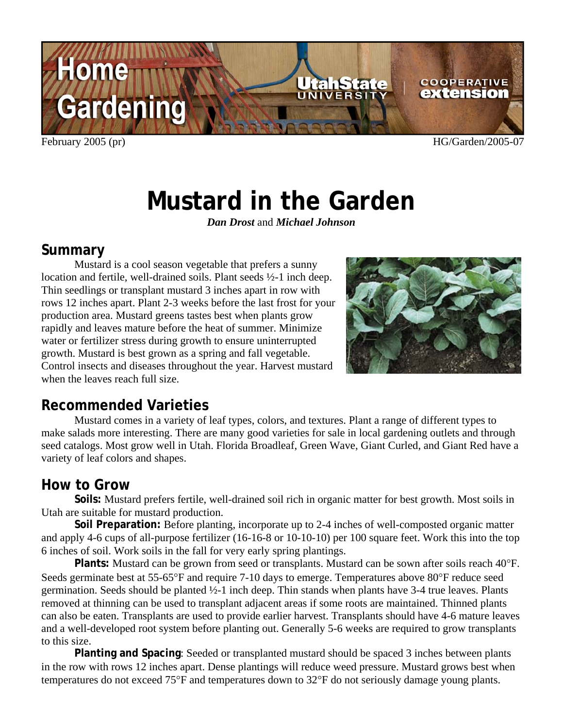

February 2005 (pr) HG/Garden/2005-07

# **Mustard in the Garden**

*Dan Drost* and *Michael Johnson*

#### **Summary**

Mustard is a cool season vegetable that prefers a sunny location and fertile, well-drained soils. Plant seeds ½-1 inch deep. Thin seedlings or transplant mustard 3 inches apart in row with rows 12 inches apart. Plant 2-3 weeks before the last frost for your production area. Mustard greens tastes best when plants grow rapidly and leaves mature before the heat of summer. Minimize water or fertilizer stress during growth to ensure uninterrupted growth. Mustard is best grown as a spring and fall vegetable. Control insects and diseases throughout the year. Harvest mustard when the leaves reach full size.



### **Recommended Varieties**

Mustard comes in a variety of leaf types, colors, and textures. Plant a range of different types to make salads more interesting. There are many good varieties for sale in local gardening outlets and through seed catalogs. Most grow well in Utah. Florida Broadleaf, Green Wave, Giant Curled, and Giant Red have a variety of leaf colors and shapes.

#### **How to Grow**

**Soils:** Mustard prefers fertile, well-drained soil rich in organic matter for best growth. Most soils in Utah are suitable for mustard production.

**Soil Preparation:** Before planting, incorporate up to 2-4 inches of well-composted organic matter and apply 4-6 cups of all-purpose fertilizer (16-16-8 or 10-10-10) per 100 square feet. Work this into the top 6 inches of soil. Work soils in the fall for very early spring plantings.

**Plants:** Mustard can be grown from seed or transplants. Mustard can be sown after soils reach 40°F. Seeds germinate best at 55-65°F and require 7-10 days to emerge. Temperatures above 80°F reduce seed germination. Seeds should be planted ½-1 inch deep. Thin stands when plants have 3-4 true leaves. Plants removed at thinning can be used to transplant adjacent areas if some roots are maintained. Thinned plants can also be eaten. Transplants are used to provide earlier harvest. Transplants should have 4-6 mature leaves and a well-developed root system before planting out. Generally 5-6 weeks are required to grow transplants to this size.

**Planting and Spacing**: Seeded or transplanted mustard should be spaced 3 inches between plants in the row with rows 12 inches apart. Dense plantings will reduce weed pressure. Mustard grows best when temperatures do not exceed 75°F and temperatures down to 32°F do not seriously damage young plants.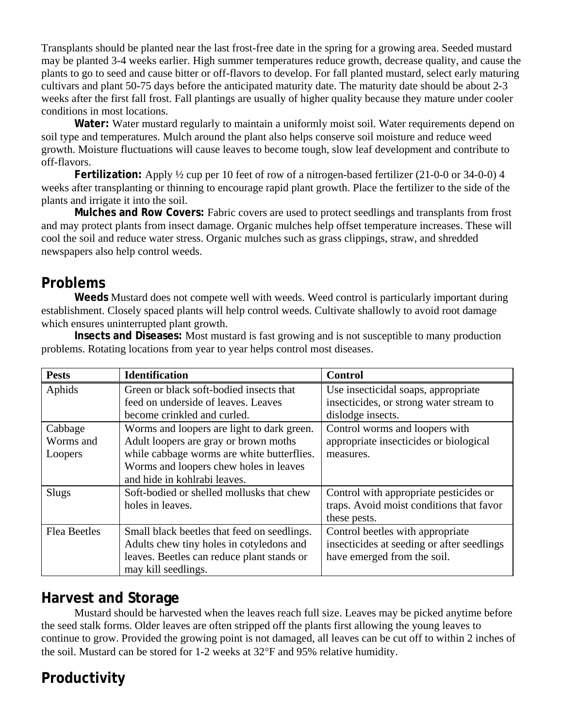Transplants should be planted near the last frost-free date in the spring for a growing area. Seeded mustard may be planted 3-4 weeks earlier. High summer temperatures reduce growth, decrease quality, and cause the plants to go to seed and cause bitter or off-flavors to develop. For fall planted mustard, select early maturing cultivars and plant 50-75 days before the anticipated maturity date. The maturity date should be about 2-3 weeks after the first fall frost. Fall plantings are usually of higher quality because they mature under cooler conditions in most locations.

**Water:** Water mustard regularly to maintain a uniformly moist soil. Water requirements depend on soil type and temperatures. Mulch around the plant also helps conserve soil moisture and reduce weed growth. Moisture fluctuations will cause leaves to become tough, slow leaf development and contribute to off-flavors.

**Fertilization:** Apply ½ cup per 10 feet of row of a nitrogen-based fertilizer (21-0-0 or 34-0-0) 4 weeks after transplanting or thinning to encourage rapid plant growth. Place the fertilizer to the side of the plants and irrigate it into the soil.

**Mulches and Row Covers:** Fabric covers are used to protect seedlings and transplants from frost and may protect plants from insect damage. Organic mulches help offset temperature increases. These will cool the soil and reduce water stress. Organic mulches such as grass clippings, straw, and shredded newspapers also help control weeds.

#### **Problems**

**Weeds** Mustard does not compete well with weeds. Weed control is particularly important during establishment. Closely spaced plants will help control weeds. Cultivate shallowly to avoid root damage which ensures uninterrupted plant growth.

**Insects and Diseases:** Most mustard is fast growing and is not susceptible to many production problems. Rotating locations from year to year helps control most diseases.

| <b>Pests</b>        | <b>Identification</b>                       | <b>Control</b>                             |
|---------------------|---------------------------------------------|--------------------------------------------|
| Aphids              | Green or black soft-bodied insects that     | Use insecticidal soaps, appropriate        |
|                     | feed on underside of leaves. Leaves         | insecticides, or strong water stream to    |
|                     | become crinkled and curled.                 | dislodge insects.                          |
| Cabbage             | Worms and loopers are light to dark green.  | Control worms and loopers with             |
| Worms and           | Adult loopers are gray or brown moths       | appropriate insecticides or biological     |
| Loopers             | while cabbage worms are white butterflies.  | measures.                                  |
|                     | Worms and loopers chew holes in leaves      |                                            |
|                     | and hide in kohlrabi leaves.                |                                            |
| Slugs               | Soft-bodied or shelled mollusks that chew   | Control with appropriate pesticides or     |
|                     | holes in leaves.                            | traps. Avoid moist conditions that favor   |
|                     |                                             | these pests.                               |
| <b>Flea Beetles</b> | Small black beetles that feed on seedlings. | Control beetles with appropriate           |
|                     | Adults chew tiny holes in cotyledons and    | insecticides at seeding or after seedlings |
|                     | leaves. Beetles can reduce plant stands or  | have emerged from the soil.                |
|                     | may kill seedlings.                         |                                            |

#### **Harvest and Storage**

Mustard should be harvested when the leaves reach full size. Leaves may be picked anytime before the seed stalk forms. Older leaves are often stripped off the plants first allowing the young leaves to continue to grow. Provided the growing point is not damaged, all leaves can be cut off to within 2 inches of the soil. Mustard can be stored for 1-2 weeks at 32°F and 95% relative humidity.

## **Productivity**